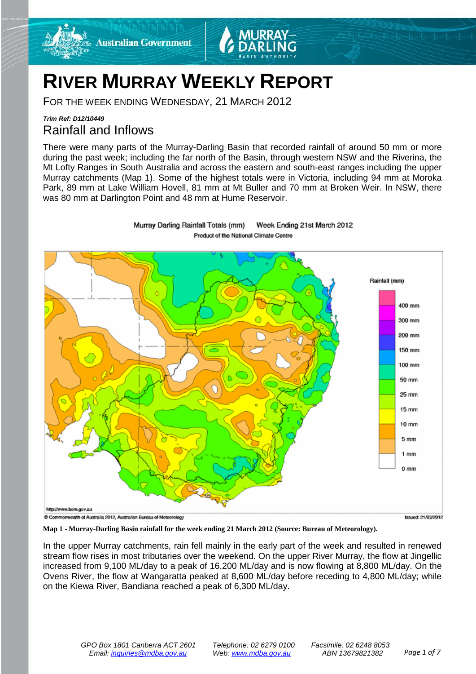

# **RIVER MURRAY WEEKLY REPORT**

FOR THE WEEK ENDING WEDNESDAY, 21 MARCH 2012

## *Trim Ref: D12/10449* Rainfall and Inflows

There were many parts of the Murray-Darling Basin that recorded rainfall of around 50 mm or more during the past week; including the far north of the Basin, through western NSW and the Riverina, the Mt Lofty Ranges in South Australia and across the eastern and south-east ranges including the upper Murray catchments (Map 1). Some of the highest totals were in Victoria, including 94 mm at Moroka Park, 89 mm at Lake William Hovell, 81 mm at Mt Buller and 70 mm at Broken Weir. In NSW, there was 80 mm at Darlington Point and 48 mm at Hume Reservoir.



Murray Darling Rainfall Totals (mm) Week Ending 21st March 2012 Product of the National Climate Centre

**Map 1 - Murray-Darling Basin rainfall for the week ending 21 March 2012 (Source: Bureau of Meteorology).**

In the upper Murray catchments, rain fell mainly in the early part of the week and resulted in renewed stream flow rises in most tributaries over the weekend. On the upper River Murray, the flow at Jingellic increased from 9,100 ML/day to a peak of 16,200 ML/day and is now flowing at 8,800 ML/day. On the Ovens River, the flow at Wangaratta peaked at 8,600 ML/day before receding to 4,800 ML/day; while on the Kiewa River, Bandiana reached a peak of 6,300 ML/day.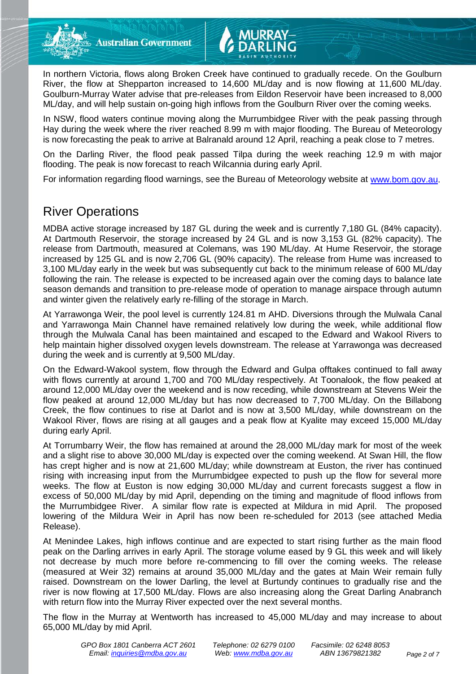

In NSW, flood waters continue moving along the Murrumbidgee River with the peak passing through Hay during the week where the river reached 8.99 m with major flooding. The Bureau of Meteorology is now forecasting the peak to arrive at Balranald around 12 April, reaching a peak close to 7 metres.

On the Darling River, the flood peak passed Tilpa during the week reaching 12.9 m with major flooding. The peak is now forecast to reach Wilcannia during early April.

For information regarding flood warnings, see the Bureau of Meteorology website at [www.bom.gov.au.](http://www.bom.gov.au/)

# River Operations

MDBA active storage increased by 187 GL during the week and is currently 7,180 GL (84% capacity). At Dartmouth Reservoir, the storage increased by 24 GL and is now 3,153 GL (82% capacity). The release from Dartmouth, measured at Colemans, was 190 ML/day. At Hume Reservoir, the storage increased by 125 GL and is now 2,706 GL (90% capacity). The release from Hume was increased to 3,100 ML/day early in the week but was subsequently cut back to the minimum release of 600 ML/day following the rain. The release is expected to be increased again over the coming days to balance late season demands and transition to pre-release mode of operation to manage airspace through autumn and winter given the relatively early re-filling of the storage in March.

At Yarrawonga Weir, the pool level is currently 124.81 m AHD. Diversions through the Mulwala Canal and Yarrawonga Main Channel have remained relatively low during the week, while additional flow through the Mulwala Canal has been maintained and escaped to the Edward and Wakool Rivers to help maintain higher dissolved oxygen levels downstream. The release at Yarrawonga was decreased during the week and is currently at 9,500 ML/day.

On the Edward-Wakool system, flow through the Edward and Gulpa offtakes continued to fall away with flows currently at around 1,700 and 700 ML/day respectively. At Toonalook, the flow peaked at around 12,000 ML/day over the weekend and is now receding, while downstream at Stevens Weir the flow peaked at around 12,000 ML/day but has now decreased to 7,700 ML/day. On the Billabong Creek, the flow continues to rise at Darlot and is now at 3,500 ML/day, while downstream on the Wakool River, flows are rising at all gauges and a peak flow at Kyalite may exceed 15,000 ML/day during early April.

At Torrumbarry Weir, the flow has remained at around the 28,000 ML/day mark for most of the week and a slight rise to above 30,000 ML/day is expected over the coming weekend. At Swan Hill, the flow has crept higher and is now at 21,600 ML/day; while downstream at Euston, the river has continued rising with increasing input from the Murrumbidgee expected to push up the flow for several more weeks. The flow at Euston is now edging 30,000 ML/day and current forecasts suggest a flow in excess of 50,000 ML/day by mid April, depending on the timing and magnitude of flood inflows from the Murrumbidgee River. A similar flow rate is expected at Mildura in mid April. The proposed lowering of the Mildura Weir in April has now been re-scheduled for 2013 (see attached Media Release).

At Menindee Lakes, high inflows continue and are expected to start rising further as the main flood peak on the Darling arrives in early April. The storage volume eased by 9 GL this week and will likely not decrease by much more before re-commencing to fill over the coming weeks. The release (measured at Weir 32) remains at around 35,000 ML/day and the gates at Main Weir remain fully raised. Downstream on the lower Darling, the level at Burtundy continues to gradually rise and the river is now flowing at 17,500 ML/day. Flows are also increasing along the Great Darling Anabranch with return flow into the Murray River expected over the next several months.

The flow in the Murray at Wentworth has increased to 45,000 ML/day and may increase to about 65,000 ML/day by mid April.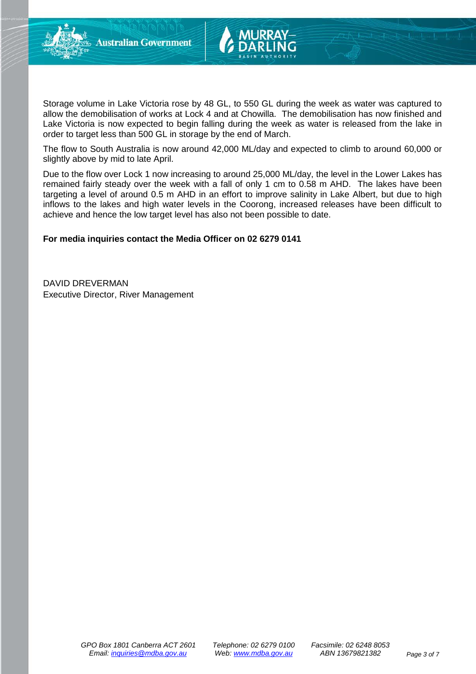

Storage volume in Lake Victoria rose by 48 GL, to 550 GL during the week as water was captured to allow the demobilisation of works at Lock 4 and at Chowilla. The demobilisation has now finished and Lake Victoria is now expected to begin falling during the week as water is released from the lake in order to target less than 500 GL in storage by the end of March.

The flow to South Australia is now around 42,000 ML/day and expected to climb to around 60,000 or slightly above by mid to late April.

Due to the flow over Lock 1 now increasing to around 25,000 ML/day, the level in the Lower Lakes has remained fairly steady over the week with a fall of only 1 cm to 0.58 m AHD. The lakes have been targeting a level of around 0.5 m AHD in an effort to improve salinity in Lake Albert, but due to high inflows to the lakes and high water levels in the Coorong, increased releases have been difficult to achieve and hence the low target level has also not been possible to date.

#### **For media inquiries contact the Media Officer on 02 6279 0141**

DAVID DREVERMAN Executive Director, River Management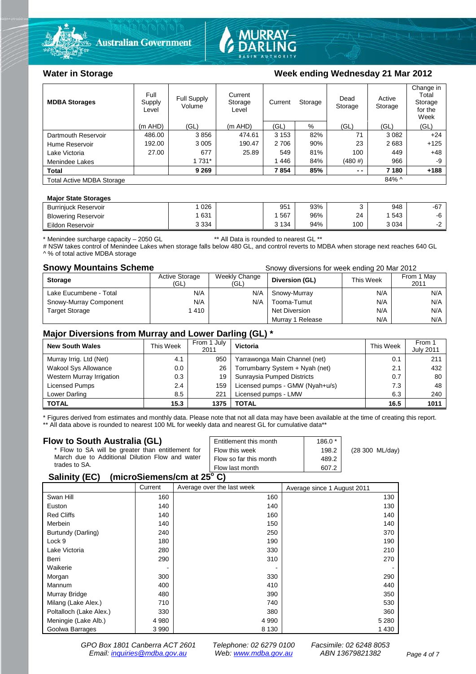



### Water in Storage Week ending Wednesday 21 Mar 2012

| <b>MDBA Storages</b>             | Full<br>Supply<br>Level | Full Supply<br>Volume | Current<br>Storage<br>Level | Current<br>Storage |     | Dead<br>Storage | Active<br>Storage | Change in<br>Total<br>Storage<br>for the<br>Week |
|----------------------------------|-------------------------|-----------------------|-----------------------------|--------------------|-----|-----------------|-------------------|--------------------------------------------------|
|                                  | $(m$ AHD)               | (GL)                  | $(m$ AHD)                   | (GL)               | %   | (GL)            | (GL)              | (GL)                                             |
| Dartmouth Reservoir              | 486.00                  | 3856                  | 474.61                      | 3 1 5 3            | 82% | 71              | 3 0 8 2           | $+24$                                            |
| Hume Reservoir                   | 192.00                  | 3 0 0 5               | 190.47                      | 2 7 0 6            | 90% | 23              | 2683              | $+125$                                           |
| Lake Victoria                    | 27.00                   | 677                   | 25.89                       | 549                | 81% | 100             | 449               | $+48$                                            |
| Menindee Lakes                   |                         | 1 7 3 1 *             |                             | 1446               | 84% | (480#)          | 966               | -9                                               |
| <b>Total</b>                     |                         | 9 2 6 9               |                             | 7854               | 85% | $ -$            | 7 180             | $+188$                                           |
| <b>Total Active MDBA Storage</b> |                         |                       |                             |                    |     |                 | $84\%$ ^          |                                                  |

#### **Major State Storages**

| <b>Burriniuck Reservoir</b> | 026     | 951     | 93% |     | 948  | -67 |
|-----------------------------|---------|---------|-----|-----|------|-----|
| <b>Blowering Reservoir</b>  | 631     | 567     | 96% | 24  | 543  | -0  |
| Eildon<br>r Reservoir       | 3 3 3 4 | 3 1 3 4 | 94% | 100 | 3034 | -   |
|                             |         |         |     |     |      |     |

\* Menindee surcharge capacity – 2050 GL \*\* All Data is rounded to nearest GL \*\*

# NSW takes control of Menindee Lakes when storage falls below 480 GL, and control reverts to MDBA when storage next reaches 640 GL ^ % of total active MDBA storage

**Snowy Mountains Scheme Snowy diversions for week ending 20 Mar 2012** 

| <b>Storage</b>         | <b>Active Storage</b><br>'GL) | Weekly Change<br>(GL) | Diversion (GL)   | This Week | From 1 May<br>2011 |
|------------------------|-------------------------------|-----------------------|------------------|-----------|--------------------|
| Lake Eucumbene - Total | N/A                           | N/A                   | Snowy-Murray     | N/A       | N/A                |
| Snowy-Murray Component | N/A                           | N/A                   | Tooma-Tumut      | N/A       | N/A                |
| <b>Target Storage</b>  | 1410                          |                       | Net Diversion    | N/A       | N/A                |
|                        |                               |                       | Murray 1 Release | N/A       | N/A                |

### **Major Diversions from Murray and Lower Darling (GL) \***

| <b>New South Wales</b>    | This Week | From 1 July<br>2011 | Victoria                        | This Week | From 1<br><b>July 2011</b> |
|---------------------------|-----------|---------------------|---------------------------------|-----------|----------------------------|
| Murray Irrig. Ltd (Net)   | 4.1       | 950                 | Yarrawonga Main Channel (net)   | 0.1       | 211                        |
| Wakool Sys Allowance      | 0.0       | 26                  | Torrumbarry System + Nyah (net) | 2.1       | 432                        |
| Western Murray Irrigation | 0.3       | 19                  | Sunraysia Pumped Districts      | 0.7       | 80                         |
| Licensed Pumps            | 2.4       | 159                 | Licensed pumps - GMW (Nyah+u/s) | 7.3       | 48                         |
| Lower Darling             | 8.5       | 221                 | Licensed pumps - LMW            | 6.3       | 240                        |
| <b>TOTAL</b>              | 15.3      | 1375                | TOTAL                           | 16.5      | 1011                       |

\* Figures derived from estimates and monthly data. Please note that not all data may have been available at the time of creating this report. \*\* All data above is rounded to nearest 100 ML for weekly data and nearest GL for cumulative data\*\*

#### **Flow to South Australia (GL)**

| Flow to South Australia (GL)<br>* Flow to SA will be greater than entitlement for<br>March due to Additional Dilution Flow and water<br>trades to SA. | Entitlement this month<br>Flow this week<br>Flow so far this month | $186.0*$<br>198.2<br>489.2 | (28 300 ML/day) |
|-------------------------------------------------------------------------------------------------------------------------------------------------------|--------------------------------------------------------------------|----------------------------|-----------------|
|                                                                                                                                                       | Flow last month                                                    | 607.2                      |                 |
| $P = 1!!41P P V$                                                                                                                                      |                                                                    |                            |                 |

#### **Salinity (EC) (microSiemens/cm at 25o C)**

|                         | Current | Average over the last week | Average since 1 August 2011 |
|-------------------------|---------|----------------------------|-----------------------------|
| Swan Hill               | 160     | 160                        | 130                         |
| Euston                  | 140     | 140                        | 130                         |
| <b>Red Cliffs</b>       | 140     | 160                        | 140                         |
| Merbein                 | 140     | 150                        | 140                         |
| Burtundy (Darling)      | 240     | 250                        | 370                         |
| Lock 9                  | 180     | 190                        | 190                         |
| Lake Victoria           | 280     | 330                        | 210                         |
| Berri                   | 290     | 310                        | 270                         |
| Waikerie                |         |                            |                             |
| Morgan                  | 300     | 330                        | 290                         |
| Mannum                  | 400     | 410                        | 440                         |
| Murray Bridge           | 480     | 390                        | 350                         |
| Milang (Lake Alex.)     | 710     | 740                        | 530                         |
| Poltalloch (Lake Alex.) | 330     | 380                        | 360                         |
| Meningie (Lake Alb.)    | 4 9 8 0 | 4 9 9 0                    | 5 2 8 0                     |
| Goolwa Barrages         | 3 9 9 0 | 8 1 3 0                    | 1430                        |

*GPO Box 1801 Canberra ACT 2601 Telephone: 02 6279 0100 Facsimile: 02 6248 8053 Email: [inquiries@mdba.gov.au](mailto:inquiries@mdba.gov.au) Web: [www.mdba.gov.au](http://www.mdba.gov.au/) ABN 13679821382 Page 4 of 7*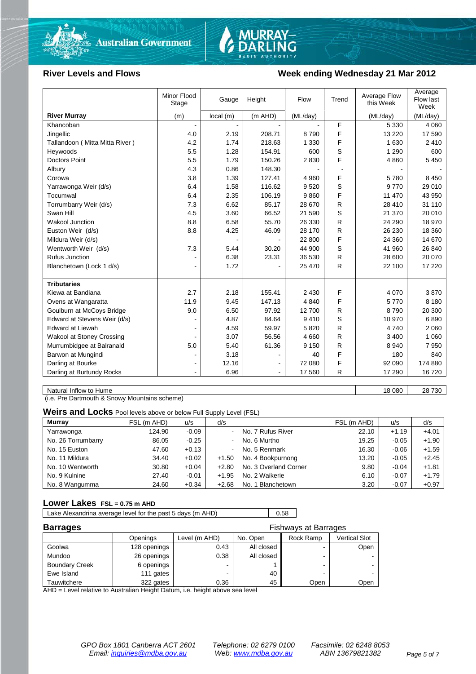



#### River Levels and Flows **Week ending Wednesday 21 Mar 2012**

|                                  | Minor Flood<br>Stage | Gauge    | Height  | Flow     | Trend | Average Flow<br>this Week | Average<br>Flow last<br>Week |
|----------------------------------|----------------------|----------|---------|----------|-------|---------------------------|------------------------------|
| <b>River Murray</b>              | (m)                  | local(m) | (m AHD) | (ML/day) |       | (ML/day)                  | (ML/day)                     |
| Khancoban                        |                      |          |         |          | F     | 5 3 3 0                   | 4 0 6 0                      |
| Jingellic                        | 4.0                  | 2.19     | 208.71  | 8790     | F     | 13 2 20                   | 17 590                       |
| Tallandoon (Mitta Mitta River)   | 4.2                  | 1.74     | 218.63  | 1 3 3 0  | F     | 1 6 3 0                   | 2410                         |
| Hevwoods                         | 5.5                  | 1.28     | 154.91  | 600      | S     | 1 2 9 0                   | 600                          |
| <b>Doctors Point</b>             | 5.5                  | 1.79     | 150.26  | 2830     | F     | 4 8 6 0                   | 5 4 5 0                      |
| Albury                           | 4.3                  | 0.86     | 148.30  |          |       |                           |                              |
| Corowa                           | 3.8                  | 1.39     | 127.41  | 4 9 6 0  | F     | 5780                      | 8 4 5 0                      |
| Yarrawonga Weir (d/s)            | 6.4                  | 1.58     | 116.62  | 9520     | S     | 9770                      | 29 010                       |
| Tocumwal                         | 6.4                  | 2.35     | 106.19  | 9860     | F     | 11 470                    | 43 950                       |
| Torrumbarry Weir (d/s)           | 7.3                  | 6.62     | 85.17   | 28 670   | R     | 28 410                    | 31 110                       |
| Swan Hill                        | 4.5                  | 3.60     | 66.52   | 21 590   | S     | 21 370                    | 20 010                       |
| Wakool Junction                  | 8.8                  | 6.58     | 55.70   | 26 330   | R     | 24 290                    | 18 970                       |
| Euston Weir (d/s)                | 8.8                  | 4.25     | 46.09   | 28 170   | R     | 26 230                    | 18 360                       |
| Mildura Weir (d/s)               |                      |          |         | 22 800   | F     | 24 360                    | 14 670                       |
| Wentworth Weir (d/s)             | 7.3                  | 5.44     | 30.20   | 44 900   | S     | 41 960                    | 26 840                       |
| Rufus Junction                   |                      | 6.38     | 23.31   | 36 530   | R     | 28 600                    | 20 070                       |
| Blanchetown (Lock 1 d/s)         | $\blacksquare$       | 1.72     |         | 25 470   | R     | 22 100                    | 17 220                       |
|                                  |                      |          |         |          |       |                           |                              |
| <b>Tributaries</b>               |                      |          |         |          |       |                           |                              |
| Kiewa at Bandiana                | 2.7                  | 2.18     | 155.41  | 2 4 3 0  | F     | 4 0 7 0                   | 3870                         |
| Ovens at Wangaratta              | 11.9                 | 9.45     | 147.13  | 4 8 4 0  | F     | 5770                      | 8 1 8 0                      |
| Goulburn at McCoys Bridge        | 9.0                  | 6.50     | 97.92   | 12700    | R     | 8790                      | 20 300                       |
| Edward at Stevens Weir (d/s)     |                      | 4.87     | 84.64   | 9410     | S     | 10 970                    | 6890                         |
| <b>Edward at Liewah</b>          |                      | 4.59     | 59.97   | 5820     | R     | 4 7 4 0                   | 2 0 6 0                      |
| <b>Wakool at Stoney Crossing</b> |                      | 3.07     | 56.56   | 4 6 6 0  | R     | 3 4 0 0                   | 1 0 6 0                      |
| Murrumbidgee at Balranald        | 5.0                  | 5.40     | 61.36   | 9 1 5 0  | R     | 8 9 4 0                   | 7950                         |
| Barwon at Mungindi               |                      | 3.18     |         | 40       | F     | 180                       | 840                          |
| Darling at Bourke                |                      | 12.16    |         | 72 080   | F     | 92 090                    | 174 880                      |
| Darling at Burtundy Rocks        | ۰                    | 6.96     |         | 17 560   | R     | 17 290                    | 16720                        |

Natural Inflow to Hume 18 080 28 730

(i.e. Pre Dartmouth & Snowy Mountains scheme)

**Weirs and Locks** Pool levels above or below Full Supply Level (FSL)

| <b>Murray</b>      | FSL (m AHD) | u/s     | d/s            |                       | FSL (m AHD) | u/s     | d/s     |
|--------------------|-------------|---------|----------------|-----------------------|-------------|---------|---------|
| Yarrawonga         | 124.90      | $-0.09$ | $\sim$ 1       | No. 7 Rufus River     | 22.10       | $+1.19$ | $+4.01$ |
| No. 26 Torrumbarry | 86.05       | $-0.25$ | $\sim$         | No. 6 Murtho          | 19.25       | $-0.05$ | $+1.90$ |
| No. 15 Euston      | 47.60       | $+0.13$ | $\blacksquare$ | No. 5 Renmark         | 16.30       | $-0.06$ | $+1.59$ |
| No. 11 Mildura     | 34.40       | $+0.02$ | $+1.50$        | No. 4 Bookpurnong     | 13.20       | $-0.05$ | $+2.45$ |
| No. 10 Wentworth   | 30.80       | $+0.04$ | $+2.80$        | No. 3 Overland Corner | 9.80        | $-0.04$ | $+1.81$ |
| No. 9 Kulnine      | 27.40       | $-0.01$ | $+1.95$        | No. 2 Waikerie        | 6.10        | $-0.07$ | $+1.79$ |
| No. 8 Wangumma     | 24.60       | $+0.34$ | $+2.68$        | No. 1 Blanchetown     | 3.20        | $-0.07$ | $+0.97$ |

#### **Lower Lakes FSL = 0.75 m AHD**

Lake Alexandrina average level for the past 5 days (m AHD) 0.58

| <b>Barrages</b>       |              |               | <b>Fishways at Barrages</b> |                |                      |  |
|-----------------------|--------------|---------------|-----------------------------|----------------|----------------------|--|
|                       | Openings     | Level (m AHD) | No. Open                    | Rock Ramp      | <b>Vertical Slot</b> |  |
| Goolwa                | 128 openings | 0.43          | All closed                  | $\blacksquare$ | Open                 |  |
| Mundoo                | 26 openings  | 0.38          | All closed                  |                |                      |  |
| <b>Boundary Creek</b> | 6 openings   |               |                             | $\blacksquare$ |                      |  |
| Ewe Island            | 111 gates    |               | 40                          |                |                      |  |
| Tauwitchere           | 322 gates    | 0.36          | 45                          | Open           | Open                 |  |

AHD = Level relative to Australian Height Datum, i.e. height above sea level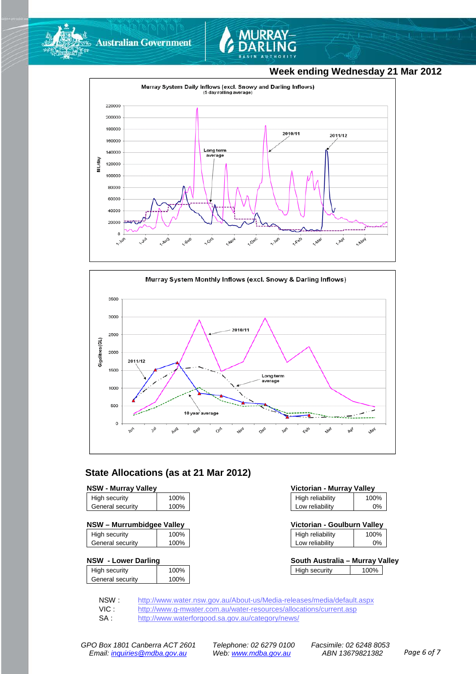

**Australian Government** 



# **Week ending Wednesday 21 Mar 2012**





### **State Allocations (as at 21 Mar 2012)**

|--|

| High security    | 100% |
|------------------|------|
| General security | 100% |
|                  |      |

#### **NSW – Murrumbidgee Valley Victorian - Goulburn Valley**

| High security    | 100% |
|------------------|------|
| General security | 100% |
|                  |      |

#### **NSW - Lower Darling**

| High security    | 100% |
|------------------|------|
| General security | 100% |
|                  |      |

| <b>NSW - Murrav Vallev</b> |      | Victorian - Murray Valley |      |
|----------------------------|------|---------------------------|------|
| High security              | 100% | High reliability          | 100% |
| General security           | 100% | Low reliability           | 0%   |

| Victorian - Goulburn Valley |      |
|-----------------------------|------|
| High reliability            | 100% |

| .               | $.  -  -  -  -$ |
|-----------------|-----------------|
| Low reliability | 0%              |
|                 |                 |

| South Australia - Murray Valley |      |  |
|---------------------------------|------|--|
| High security                   | 100% |  |

NSW : <http://www.water.nsw.gov.au/About-us/Media-releases/media/default.aspx><br>VIC : http://www.g-mwater.com.au/water-resources/allocations/current.asp

VIC : <http://www.g-mwater.com.au/water-resources/allocations/current.asp><br>SA : http://www.waterforgood.sa.gov.au/category/news/

<http://www.waterforgood.sa.gov.au/category/news/>